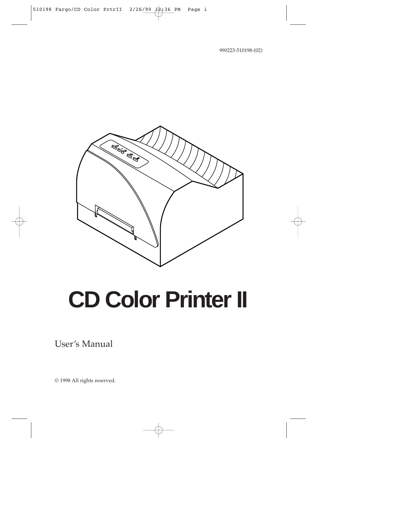990223-510198-(02)



# **CD Color Printer II**

User's Manual

© 1998 All rights reserved.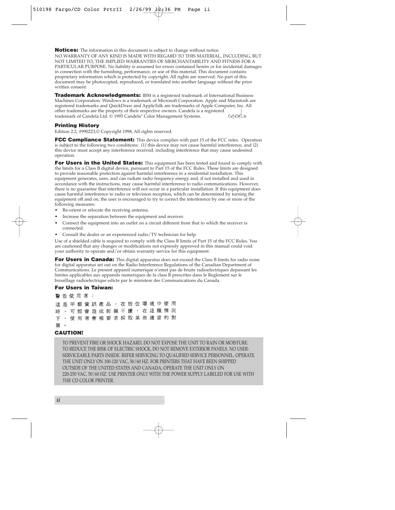**Notices:** The information in this document is subject to change without notice. NO WARRANTY OF ANY KIND IS MADE WITH REGARD TO THIS MATERIAL, INCLUDING, BUT NOT LIMITED TO, THE IMPLIED WARRANTIES OF MERCHANTABILITY AND FITNESS FOR A PARTICULAR PURPOSE. No liability is assumed for errors contained herein or for incidental damages in connection with the furnishing, performance, or use of this material. This document contains proprietary information which is protected by copyright. All rights are reserved. No part of this document may be photocopied, reproduced, or translated into another language without the prior written consent.

**Trademark Acknowledgments:** IBM is a registered trademark of International Business Machines Corporation. Windows is a trademark of Microsoft Corporation. Apple and Macintosh are registered trademarks and QuickDraw and AppleTalk are trademarks of Apple Computer, Inc. All other trademarks are the property of their respective owners. Candela is a registered trademark of Candela Ltd. © 1995 Candela® Color Management Systems. **CONDELN:** 

#### **Printing History**

Edition 2.2, #990223,© Copyright 1998, All rights reserved.

**FCC Compliance Statement:** This device complies with part 15 of the FCC rules. Operation is subject to the following two conditions: (1) this device may not cause harmful interference, and (2) this device must accept any interference received, including interference that may cause undesired operation.

**For Users in the United States:** This equipment has been tested and found to comply with the limits for a Class B digital device, pursuant to Part 15 of the FCC Rules. These limits are designed to provide reasonable protection against harmful interference in a residential installation. This equipment generates, uses, and can radiate radio frequency energy and, if not installed and used in accordance with the instructions, may cause harmful interference to radio communications. However, there is no guarantee that interference will not occur in a particular installation. If this equipment does cause harmful interference to radio or television reception, which can be determined by turning the equipment off and on, the user is encouraged to try to correct the interference by one or more of the following measures:

- Re-orient or relocate the receiving antenna.
- Increase the separation between the equipment and receiver.
- Connect the equipment into an outlet on a circuit different from that to which the receiver is connected.
- Consult the dealer or an experienced radio/TV technician for help.

Use of a shielded cable is required to comply with the Class B limits of Part 15 of the FCC Rules. You are cautioned that any changes or modifications not expressly approved in this manual could void your authority to operate and/or obtain warranty service for this equipment.

**For Users in Canada:** This digital apparatus does not exceed the Class B limits for radio noise for digital apparatus set out on the Radio Interference Regulations of the Canadian Department of Communications. Le present appareil numerique n'emet pas de bruits radioelectriques depassant les limites applicables aux appareils numeriques de la class B prescrites dans le Reglement sur le brouillage radioelectrique edicte par le ministere des Communications du Canada.

#### **For Users in Taiwan:**

警告使用者: 這 是 甲 類 資 訊 產 品 , 在 居 住 環 境 中 使 用 時,可能會造成射頻干擾,在這種情況 , 使 用 者 會 被 要 求 採 取 某 些 適 當 的 對 下 第 。

#### **CAUTION!**

TO PREVENT FIRE OR SHOCK HAZARD, DO NOT EXPOSE THE UNIT TO RAIN OR MOISTURE. TO REDUCE THE RISK OF ELECTRIC SHOCK, DO NOT REMOVE EXTERIOR PANELS. NO USER-SERVICEABLE PARTS INSIDE. REFER SERVICING TO QUALIFIED SERVICE PERSONNEL. OPERATE THE UNIT ONLY ON 100-120 VAC, 50/60 HZ. FOR PRINTERS THAT HAVE BEEN SHIPPED OUTSIDE OF THE UNITED STATES AND CANADA, OPERATE THE UNIT ONLY ON 220-250 VAC, 50/60 HZ. USE PRINTER ONLY WITH THE POWER SUPPLY LABELED FOR USE WITH THE CD COLOR PRINTER.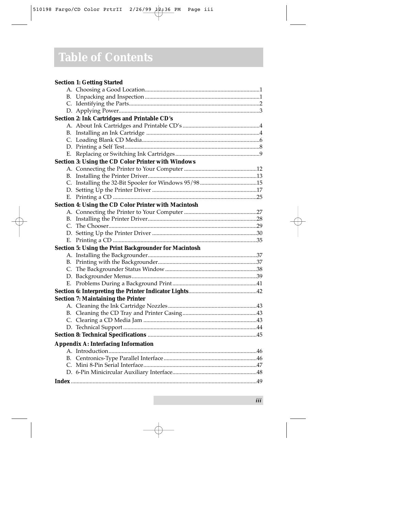#### **Section 1: Getting Started** A. Choosing a Good Location...............................................................................1 B. Unpacking and Inspection ...............................................................................1 C. Identifying the Parts..........................................................................................2 D. Applying Power.................................................................................................3 **Section 2: Ink Cartridges and Printable CD's**  A. About Ink Cartridges and Printable CD's .....................................................4 B. Installing an Ink Cartridge ..............................................................................4 C. Loading Blank CD Media.................................................................................6 D. Printing a Self Test.............................................................................................8 E. Replacing or Switching Ink Cartridges..........................................................9 **Section 3: Using the CD Color Printer with Windows** A. Connecting the Printer to Your Computer ..................................................12 B. Installing the Printer Driver...........................................................................13 C. Installing the 32-Bit Spooler for Windows 95/98 .......................................15 D. Setting Up the Printer Driver ........................................................................17 E. Printing a CD ...................................................................................................25 **Section 4: Using the CD Color Printer with Macintosh** A. Connecting the Printer to Your Computer ..................................................27 B. Installing the Printer Driver...........................................................................28 C. The Chooser......................................................................................................29 D. Setting Up the Printer Driver ........................................................................30 E. Printing a CD ...................................................................................................35 **Section 5: Using the Print Backgrounder for Macintosh** A. Installing the Backgrounder...........................................................................37 B. Printing with the Backgrounder....................................................................37 C. The Backgrounder Status Window ...............................................................38 D. Backgrounder Menus......................................................................................39 E. Problems During a Background Print..........................................................41 **Section 6: Interpreting the Printer Indicator Lights**...............................................42 **Section 7: Maintaining the Printer**  A. Cleaning the Ink Cartridge Nozzles.............................................................43 B. Cleaning the CD Tray and Printer Casing...................................................43 C. Clearing a CD Media Jam ..............................................................................43 D. Technical Support ............................................................................................44 **Section 8: Technical Specifications** ...........................................................................45 **Appendix A: Interfacing Information** A. Introduction......................................................................................................46 B. Centronics-Type Parallel Interface................................................................46 C. Mini 8-Pin Serial Interface..............................................................................47 D. 6-Pin Minicircular Auxiliary Interface..........................................................48 **Index** ................................................................................................................................49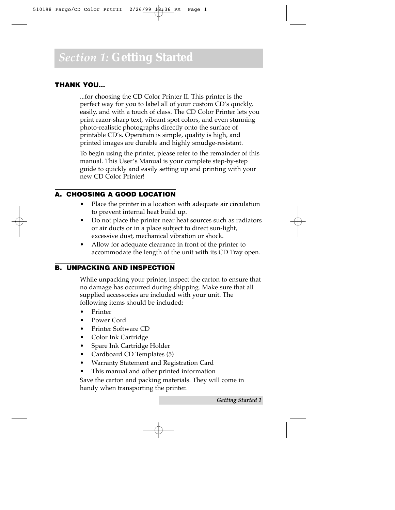#### **THANK YOU…**

...for choosing the CD Color Printer II. This printer is the perfect way for you to label all of your custom CD's quickly, easily, and with a touch of class. The CD Color Printer lets you print razor-sharp text, vibrant spot colors, and even stunning photo-realistic photographs directly onto the surface of printable CD's. Operation is simple, quality is high, and printed images are durable and highly smudge-resistant.

To begin using the printer, please refer to the remainder of this manual. This User's Manual is your complete step-by-step guide to quickly and easily setting up and printing with your new CD Color Printer!

#### **A. CHOOSING A GOOD LOCATION**

- Place the printer in a location with adequate air circulation to prevent internal heat build up.
- Do not place the printer near heat sources such as radiators or air ducts or in a place subject to direct sun-light, excessive dust, mechanical vibration or shock.
- Allow for adequate clearance in front of the printer to accommodate the length of the unit with its CD Tray open.

#### **B. UNPACKING AND INSPECTION**

While unpacking your printer, inspect the carton to ensure that no damage has occurred during shipping. Make sure that all supplied accessories are included with your unit. The following items should be included:

- Printer
- Power Cord
- Printer Software CD
- Color Ink Cartridge
- Spare Ink Cartridge Holder
- Cardboard CD Templates (5)
- Warranty Statement and Registration Card
- This manual and other printed information

Save the carton and packing materials. They will come in handy when transporting the printer.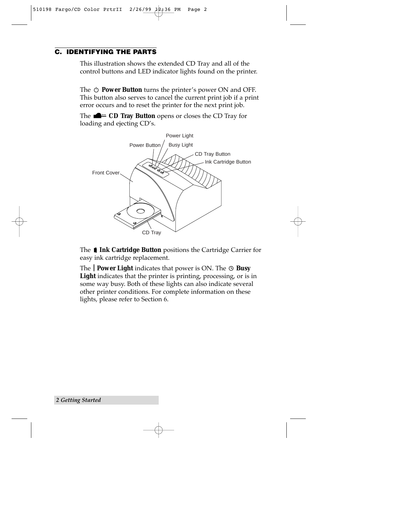#### **C. IDENTIFYING THE PARTS**

This illustration shows the extended CD Tray and all of the control buttons and LED indicator lights found on the printer.

The  $\circlearrowright$  **Power Button** turns the printer's power ON and OFF. This button also serves to cancel the current print job if a print error occurs and to reset the printer for the next print job.

The **CD Tray Button** opens or closes the CD Tray for loading and ejecting CD's.



The **1 Ink Cartridge Button** positions the Cartridge Carrier for easy ink cartridge replacement.

The **Power Light** indicates that power is ON. The **Busy** Light indicates that the printer is printing, processing, or is in some way busy. Both of these lights can also indicate several other printer conditions. For complete information on these lights, please refer to Section 6.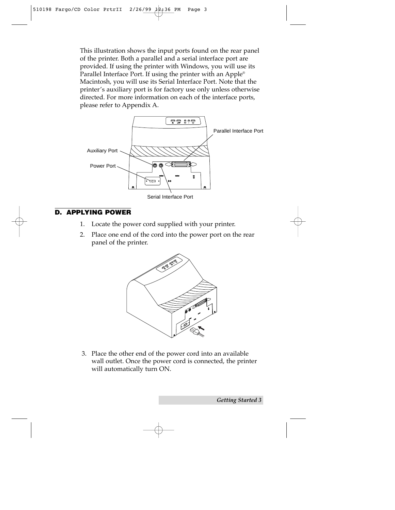This illustration shows the input ports found on the rear panel of the printer. Both a parallel and a serial interface port are provided. If using the printer with Windows, you will use its Parallel Interface Port. If using the printer with an Apple® Macintosh, you will use its Serial Interface Port. Note that the printer's auxiliary port is for factory use only unless otherwise directed. For more information on each of the interface ports, please refer to Appendix A.



#### **D. APPLYING POWER**

- 1. Locate the power cord supplied with your printer.
- 2. Place one end of the cord into the power port on the rear panel of the printer.



3. Place the other end of the power cord into an available wall outlet. Once the power cord is connected, the printer will automatically turn ON.

*Getting Started 3*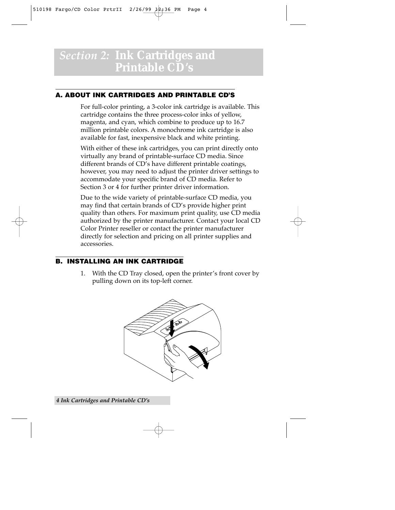### *Section 2:* **Ink Cartridges and Printable CD's**

#### **A. ABOUT INK CARTRIDGES AND PRINTABLE CD'S**

For full-color printing, a 3-color ink cartridge is available. This cartridge contains the three process-color inks of yellow, magenta, and cyan, which combine to produce up to 16.7 million printable colors. A monochrome ink cartridge is also available for fast, inexpensive black and white printing.

With either of these ink cartridges, you can print directly onto virtually any brand of printable-surface CD media. Since different brands of CD's have different printable coatings, however, you may need to adjust the printer driver settings to accommodate your specific brand of CD media. Refer to Section 3 or 4 for further printer driver information.

Due to the wide variety of printable-surface CD media, you may find that certain brands of CD's provide higher print quality than others. For maximum print quality, use CD media authorized by the printer manufacturer. Contact your local CD Color Printer reseller or contact the printer manufacturer directly for selection and pricing on all printer supplies and accessories.

#### **B. INSTALLING AN INK CARTRIDGE**

1. With the CD Tray closed, open the printer's front cover by pulling down on its top-left corner.

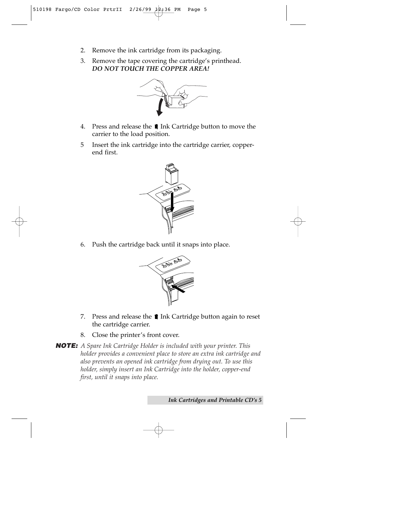- 2. Remove the ink cartridge from its packaging.
- 3. Remove the tape covering the cartridge's printhead. *DO NOT TOUCH THE COPPER AREA!*



- 4. Press and release the  $\blacksquare$  Ink Cartridge button to move the carrier to the load position.
- 5 Insert the ink cartridge into the cartridge carrier, copperend first.



6. Push the cartridge back until it snaps into place.



- 7. Press and release the  $\blacksquare$  Ink Cartridge button again to reset the cartridge carrier.
- 8. Close the printer's front cover.

**NOTE:** *A Spare Ink Cartridge Holder is included with your printer. This holder provides a convenient place to store an extra ink cartridge and also prevents an opened ink cartridge from drying out. To use this holder, simply insert an Ink Cartridge into the holder, copper-end first, until it snaps into place.*

*Ink Cartridges and Printable CD's 5*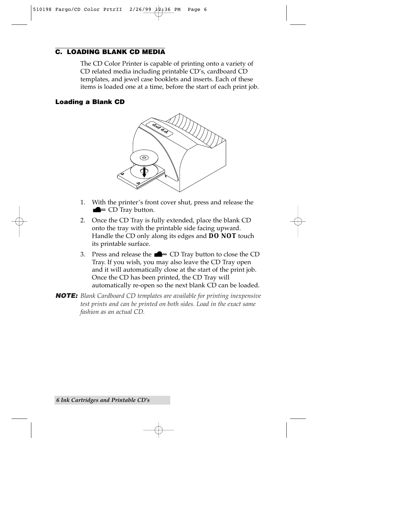#### **C. LOADING BLANK CD MEDIA**

The CD Color Printer is capable of printing onto a variety of CD related media including printable CD's, cardboard CD templates, and jewel case booklets and inserts. Each of these items is loaded one at a time, before the start of each print job.

#### **Loading a Blank CD**



- 1. With the printer's front cover shut, press and release the  $\blacksquare$  CD Tray button.
- 2. Once the CD Tray is fully extended, place the blank CD onto the tray with the printable side facing upward. Handle the CD only along its edges and **DO NOT** touch its printable surface.
- 3. Press and release the  $\blacksquare$  CD Tray button to close the CD Tray. If you wish, you may also leave the CD Tray open and it will automatically close at the start of the print job. Once the CD has been printed, the CD Tray will automatically re-open so the next blank CD can be loaded.
- **NOTE:** *Blank Cardboard CD templates are available for printing inexpensive test prints and can be printed on both sides. Load in the exact same fashion as an actual CD.*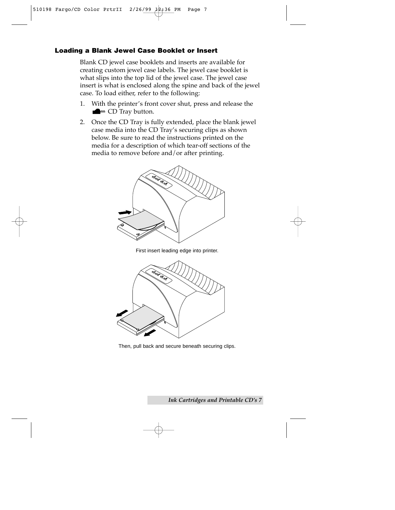#### **Loading a Blank Jewel Case Booklet or Insert**

Blank CD jewel case booklets and inserts are available for creating custom jewel case labels. The jewel case booklet is what slips into the top lid of the jewel case. The jewel case insert is what is enclosed along the spine and back of the jewel case. To load either, refer to the following:

- 1. With the printer's front cover shut, press and release the  $\triangle$   $=$  CD Tray button.
- 2. Once the CD Tray is fully extended, place the blank jewel case media into the CD Tray's securing clips as shown below. Be sure to read the instructions printed on the media for a description of which tear-off sections of the media to remove before and/or after printing.



First insert leading edge into printer.



Then, pull back and secure beneath securing clips.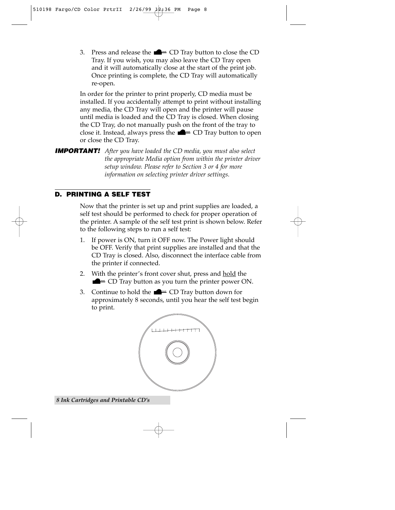3. Press and release the  $\blacksquare$  CD Tray button to close the CD Tray. If you wish, you may also leave the CD Tray open and it will automatically close at the start of the print job. Once printing is complete, the CD Tray will automatically re-open.

In order for the printer to print properly, CD media must be installed. If you accidentally attempt to print without installing any media, the CD Tray will open and the printer will pause until media is loaded and the CD Tray is closed. When closing the CD Tray, do not manually push on the front of the tray to close it. Instead, always press the  $\blacksquare$  CD Tray button to open or close the CD Tray.

**IMPORTANT!** *After you have loaded the CD media, you must also select the appropriate Media option from within the printer driver setup window. Please refer to Section 3 or 4 for more information on selecting printer driver settings.*

#### **D. PRINTING A SELF TEST**

Now that the printer is set up and print supplies are loaded, a self test should be performed to check for proper operation of the printer. A sample of the self test print is shown below. Refer to the following steps to run a self test:

- 1. If power is ON, turn it OFF now. The Power light should be OFF. Verify that print supplies are installed and that the CD Tray is closed. Also, disconnect the interface cable from the printer if connected.
- 2. With the printer's front cover shut, press and hold the  $\blacksquare$   $\blacksquare$   $\blacksquare$   $\blacksquare$   $\blacksquare$   $\blacksquare$   $\blacksquare$   $\blacksquare$   $\blacksquare$   $\blacksquare$   $\blacksquare$   $\blacksquare$   $\blacksquare$   $\blacksquare$   $\blacksquare$   $\blacksquare$   $\blacksquare$   $\blacksquare$   $\blacksquare$   $\blacksquare$   $\blacksquare$   $\blacksquare$   $\blacksquare$   $\blacksquare$   $\blacksquare$   $\blacksquare$   $\blacksquare$   $\blacksquare$   $\blacksquare$   $\blacksquare$   $\blacksquare$   $\blacks$
- 3. Continue to hold the  $\blacksquare$   $\blacksquare$   $\blacksquare$   $\blacksquare$   $\blacksquare$   $\blacksquare$   $\blacksquare$   $\blacksquare$   $\blacksquare$   $\blacksquare$   $\blacksquare$   $\blacksquare$   $\blacksquare$   $\blacksquare$   $\blacksquare$   $\blacksquare$   $\blacksquare$   $\blacksquare$   $\blacksquare$   $\blacksquare$   $\blacksquare$   $\blacksquare$   $\blacksquare$   $\blacksquare$   $\blacksquare$   $\blacksquare$   $\blacksquare$   $\blacksquare$  approximately 8 seconds, until you hear the self test begin to print.



*8 Ink Cartridges and Printable CD's*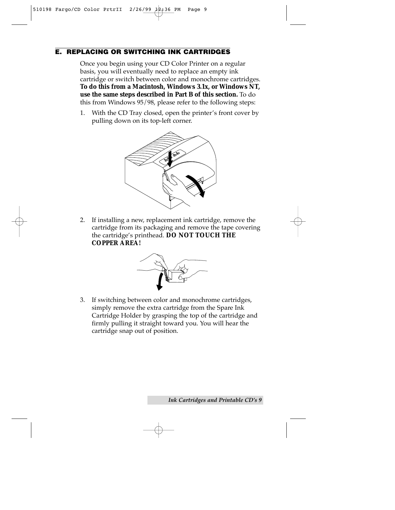#### **E. REPLACING OR SWITCHING INK CARTRIDGES**

Once you begin using your CD Color Printer on a regular basis, you will eventually need to replace an empty ink cartridge or switch between color and monochrome cartridges. **To do this from a Macintosh, Windows 3.1x, or Windows NT, use the same steps described in Part B of this section.** To do this from Windows 95/98, please refer to the following steps:

1. With the CD Tray closed, open the printer's front cover by pulling down on its top-left corner.



2. If installing a new, replacement ink cartridge, remove the cartridge from its packaging and remove the tape covering the cartridge's printhead. **DO NOT TOUCH THE COPPER AREA!**



3. If switching between color and monochrome cartridges, simply remove the extra cartridge from the Spare Ink Cartridge Holder by grasping the top of the cartridge and firmly pulling it straight toward you. You will hear the cartridge snap out of position.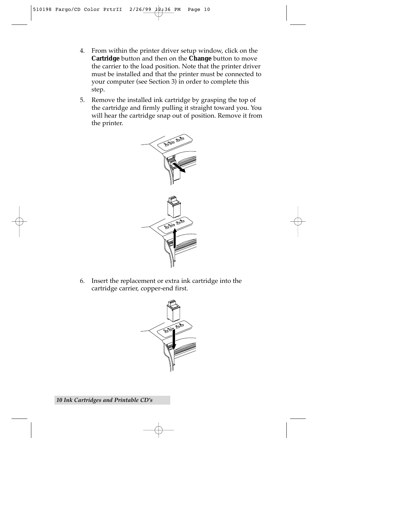- 4. From within the printer driver setup window, click on the **Cartridge** button and then on the **Change** button to move the carrier to the load position. Note that the printer driver must be installed and that the printer must be connected to your computer (see Section 3) in order to complete this step.
- 5. Remove the installed ink cartridge by grasping the top of the cartridge and firmly pulling it straight toward you. You will hear the cartridge snap out of position. Remove it from the printer.



6. Insert the replacement or extra ink cartridge into the cartridge carrier, copper-end first.

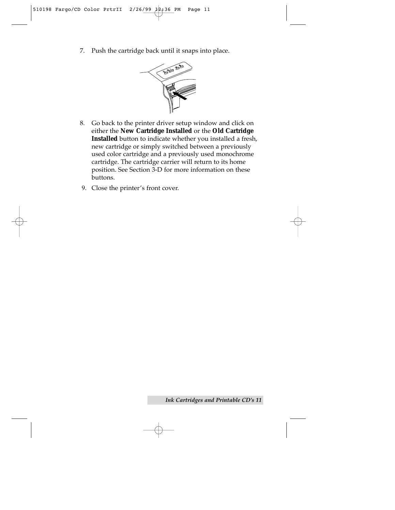7. Push the cartridge back until it snaps into place.



- 8. Go back to the printer driver setup window and click on either the **New Cartridge Installed** or the **Old Cartridge Installed** button to indicate whether you installed a fresh, new cartridge or simply switched between a previously used color cartridge and a previously used monochrome cartridge. The cartridge carrier will return to its home position. See Section 3-D for more information on these buttons.
- 9. Close the printer's front cover.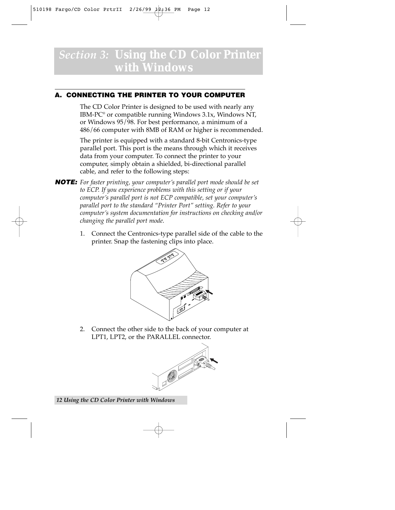### *Section 3:* **Using the CD Color Printer with Windows**

#### **A. CONNECTING THE PRINTER TO YOUR COMPUTER**

The CD Color Printer is designed to be used with nearly any IBM-PC® or compatible running Windows 3.1x, Windows NT, or Windows 95/98. For best performance, a minimum of a 486/66 computer with 8MB of RAM or higher is recommended.

The printer is equipped with a standard 8-bit Centronics-type parallel port. This port is the means through which it receives data from your computer. To connect the printer to your computer, simply obtain a shielded, bi-directional parallel cable, and refer to the following steps:

- **NOTE:** *For faster printing, your computer's parallel port mode should be set to ECP. If you experience problems with this setting or if your computer's parallel port is not ECP compatible, set your computer's parallel port to the standard "Printer Port" setting. Refer to your computer's system documentation for instructions on checking and/or changing the parallel port mode.*
	- 1. Connect the Centronics-type parallel side of the cable to the printer. Snap the fastening clips into place.



2. Connect the other side to the back of your computer at LPT1, LPT2, or the PARALLEL connector.

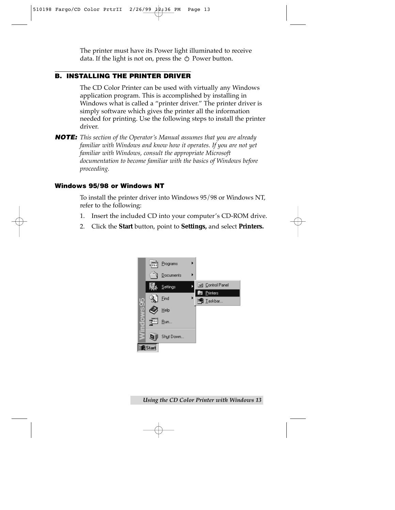The printer must have its Power light illuminated to receive data. If the light is not on, press the  $\circlearrowleft$  Power button.

#### **B. INSTALLING THE PRINTER DRIVER**

The CD Color Printer can be used with virtually any Windows application program. This is accomplished by installing in Windows what is called a "printer driver." The printer driver is simply software which gives the printer all the information needed for printing. Use the following steps to install the printer driver.

**NOTE:** *This section of the Operator's Manual assumes that you are already familiar with Windows and know how it operates. If you are not yet familiar with Windows, consult the appropriate Microsoft documentation to become familiar with the basics of Windows before proceeding.*

#### **Windows 95/98 or Windows NT**

To install the printer driver into Windows 95/98 or Windows NT, refer to the following:

- 1. Insert the included CD into your computer's CD-ROM drive.
- 2. Click the **Start** button, point to **Settings,** and select **Printers.**

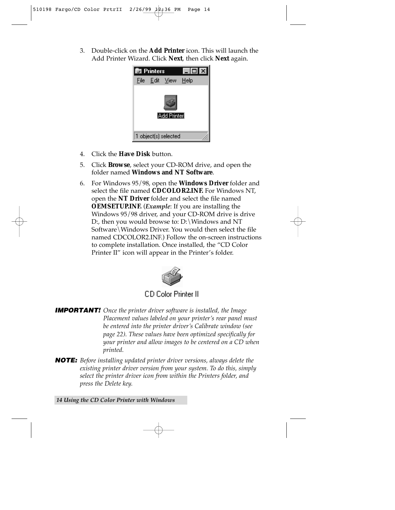3. Double-click on the **Add Printer** icon. This will launch the Add Printer Wizard. Click **Next**, then click **Next** again.



- 4. Click the **Have Disk** button.
- 5. Click **Browse**, select your CD-ROM drive, and open the folder named **Windows and NT Software**.
- 6. For Windows 95/98, open the **Windows Driver** folder and select the file named **CDCOLOR2.INF.** For Windows NT, open the **NT Driver** folder and select the file named **OEMSETUP.INF.** (*Example*: If you are installing the Windows 95/98 driver, and your CD-ROM drive is drive D:, then you would browse to: D:\Windows and NT Software\Windows Driver. You would then select the file named CDCOLOR2.INF.) Follow the on-screen instructions to complete installation. Once installed, the "CD Color Printer II" icon will appear in the Printer's folder.



**CD Color Printer II** 

- **IMPORTANT!** *Once the printer driver software is installed, the Image Placement values labeled on your printer's rear panel must be entered into the printer driver's Calibrate window (see page 22). These values have been optimized specifically for your printer and allow images to be centered on a CD when printed.*
- **NOTE:** *Before installing updated printer driver versions, always delete the existing printer driver version from your system. To do this, simply select the printer driver icon from within the Printers folder, and press the Delete key.*

*14 Using the CD Color Printer with Windows*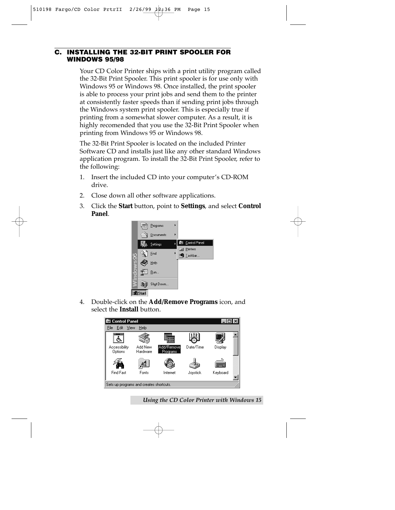#### **C. INSTALLING THE 32-BIT PRINT SPOOLER FOR WINDOWS 95/98**

Your CD Color Printer ships with a print utility program called the 32-Bit Print Spooler. This print spooler is for use only with Windows 95 or Windows 98. Once installed, the print spooler is able to process your print jobs and send them to the printer at consistently faster speeds than if sending print jobs through the Windows system print spooler. This is especially true if printing from a somewhat slower computer. As a result, it is highly recomended that you use the 32-Bit Print Spooler when printing from Windows 95 or Windows 98.

The 32-Bit Print Spooler is located on the included Printer Software CD and installs just like any other standard Windows application program. To install the 32-Bit Print Spooler, refer to the following:

- 1. Insert the included CD into your computer's CD-ROM drive.
- 2. Close down all other software applications.
- 3. Click the **Start** button, point to **Settings**, and select **Control Panel**.



4. Double-click on the **Add/Remove Programs** icon, and select the **Install** button.



*Using the CD Color Printer with Windows 15*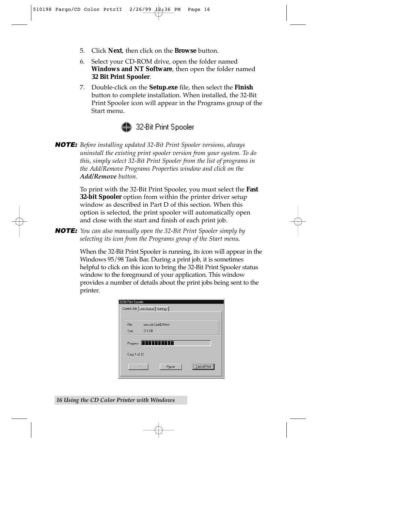- 5. Click **Next**, then click on the **Browse** button.
- 6. Select your CD-ROM drive, open the folder named **Windows and NT Software**, then open the folder named **32 Bit Print Spooler**.
- 7. Double-click on the **Setup.exe** file, then select the **Finish** button to complete installation. When installed, the 32-Bit Print Spooler icon will appear in the Programs group of the Start menu.



**NOTE:** *Before installing updated 32-Bit Print Spooler versions, always uninstall the existing print spooler version from your system. To do this, simply select 32-Bit Print Spooler from the list of programs in the Add/Remove Programs Properties window and click on the Add/Remove button.*

> To print with the 32-Bit Print Spooler, you must select the **Fast 32-bit Spooler** option from within the printer driver setup window as described in Part D of this section. When this option is selected, the print spooler will automatically open and close with the start and finish of each print job.

**NOTE:** *You can also manually open the 32-Bit Print Spooler simply by selecting its icon from the Programs group of the Start menu.*

> When the 32-Bit Print Spooler is running, its icon will appear in the Windows 95/98 Task Bar. During a print job, it is sometimes helpful to click on this icon to bring the 32-Bit Print Spooler status window to the foreground of your application. This window provides a number of details about the print jobs being sent to the printer.

| 32-Bit Print Spooler | Current Job   Job Queue   Settings |              |
|----------------------|------------------------------------|--------------|
|                      |                                    |              |
| File:                | uno.cdr:CorelDRAW                  |              |
| Size:                | 316 KB                             |              |
| Progress             |                                    |              |
| Copy 1 of 20         |                                    |              |
| Print                | Pause                              | Cancel Print |

*16 Using the CD Color Printer with Windows*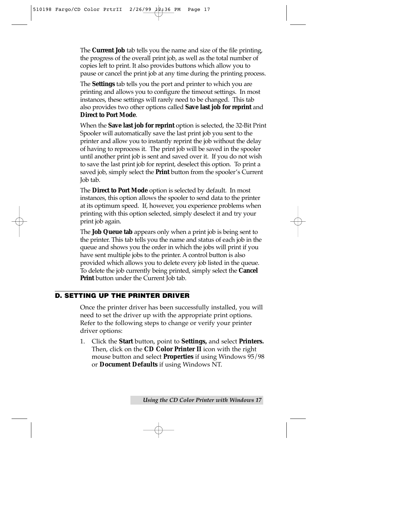The **Current Job** tab tells you the name and size of the file printing, the progress of the overall print job, as well as the total number of copies left to print. It also provides buttons which allow you to pause or cancel the print job at any time during the printing process.

The **Settings** tab tells you the port and printer to which you are printing and allows you to configure the timeout settings. In most instances, these settings will rarely need to be changed. This tab also provides two other options called **Save last job for reprint** and **Direct to Port Mode**.

When the **Save last job for reprint** option is selected, the 32-Bit Print Spooler will automatically save the last print job you sent to the printer and allow you to instantly reprint the job without the delay of having to reprocess it. The print job will be saved in the spooler until another print job is sent and saved over it. If you do not wish to save the last print job for reprint, deselect this option. To print a saved job, simply select the **Print** button from the spooler's Current Job tab.

The **Direct to Port Mode** option is selected by default. In most instances, this option allows the spooler to send data to the printer at its optimum speed. If, however, you experience problems when printing with this option selected, simply deselect it and try your print job again.

The **Job Queue tab** appears only when a print job is being sent to the printer. This tab tells you the name and status of each job in the queue and shows you the order in which the jobs will print if you have sent multiple jobs to the printer. A control button is also provided which allows you to delete every job listed in the queue. To delete the job currently being printed, simply select the **Cancel Print** button under the Current Job tab.

#### **D. SETTING UP THE PRINTER DRIVER**

Once the printer driver has been successfully installed, you will need to set the driver up with the appropriate print options. Refer to the following steps to change or verify your printer driver options:

1. Click the **Start** button, point to **Settings,** and select **Printers.** Then, click on the **CD Color Printer II** icon with the right mouse button and select **Properties** if using Windows 95/98 or **Document Defaults** if using Windows NT.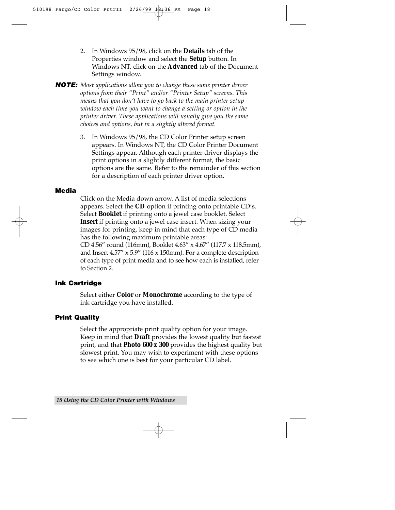2. In Windows 95/98, click on the **Details** tab of the Properties window and select the **Setup** button. In Windows NT, click on the **Advanced** tab of the Document Settings window.

**NOTE:** *Most applications allow you to change these same printer driver options from their "Print" and/or "Printer Setup" screens. This means that you don't have to go back to the main printer setup window each time you want to change a setting or option in the printer driver. These applications will usually give you the same choices and options, but in a slightly altered format.*

> 3. In Windows 95/98, the CD Color Printer setup screen appears. In Windows NT, the CD Color Printer Document Settings appear. Although each printer driver displays the print options in a slightly different format, the basic options are the same. Refer to the remainder of this section for a description of each printer driver option.

#### **Media**

Click on the Media down arrow. A list of media selections appears. Select the **CD** option if printing onto printable CD's. Select **Booklet** if printing onto a jewel case booklet. Select **Insert** if printing onto a jewel case insert. When sizing your images for printing, keep in mind that each type of CD media has the following maximum printable areas:

CD 4.56" round (116mm), Booklet 4.63" x 4.67" (117.7 x 118.5mm), and Insert 4.57" x 5.9" (116 x 150mm). For a complete description of each type of print media and to see how each is installed, refer to Section 2.

#### **Ink Cartridge**

Select either **Color** or **Monochrome** according to the type of ink cartridge you have installed.

#### **Print Quality**

Select the appropriate print quality option for your image. Keep in mind that **Draft** provides the lowest quality but fastest print, and that **Photo 600 x 300** provides the highest quality but slowest print. You may wish to experiment with these options to see which one is best for your particular CD label.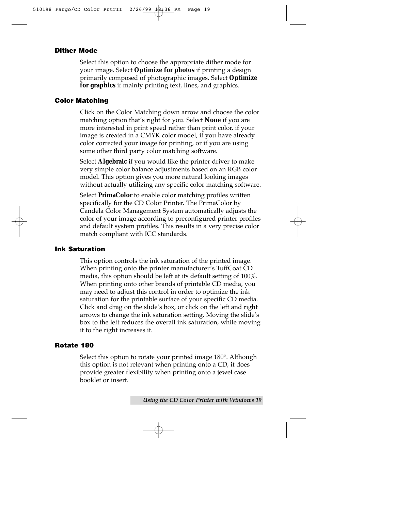#### **Dither Mode**

Select this option to choose the appropriate dither mode for your image. Select **Optimize for photos** if printing a design primarily composed of photographic images. Select **Optimize for graphics** if mainly printing text, lines, and graphics.

#### **Color Matching**

Click on the Color Matching down arrow and choose the color matching option that's right for you. Select **None** if you are more interested in print speed rather than print color, if your image is created in a CMYK color model, if you have already color corrected your image for printing, or if you are using some other third party color matching software.

Select **Algebraic** if you would like the printer driver to make very simple color balance adjustments based on an RGB color model. This option gives you more natural looking images without actually utilizing any specific color matching software.

Select **PrimaColor** to enable color matching profiles written specifically for the CD Color Printer. The PrimaColor by Candela Color Management System automatically adjusts the color of your image according to preconfigured printer profiles and default system profiles. This results in a very precise color match compliant with ICC standards.

#### **Ink Saturation**

This option controls the ink saturation of the printed image. When printing onto the printer manufacturer's TuffCoat CD media, this option should be left at its default setting of 100%. When printing onto other brands of printable CD media, you may need to adjust this control in order to optimize the ink saturation for the printable surface of your specific CD media. Click and drag on the slide's box, or click on the left and right arrows to change the ink saturation setting. Moving the slide's box to the left reduces the overall ink saturation, while moving it to the right increases it.

#### **Rotate 180**

Select this option to rotate your printed image 180°. Although this option is not relevant when printing onto a CD, it does provide greater flexibility when printing onto a jewel case booklet or insert.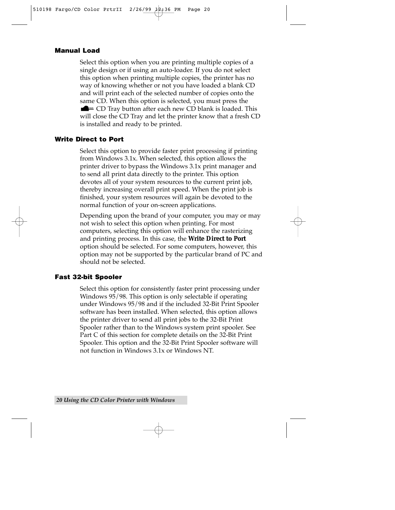#### **Manual Load**

Select this option when you are printing multiple copies of a single design or if using an auto-loader. If you do not select this option when printing multiple copies, the printer has no way of knowing whether or not you have loaded a blank CD and will print each of the selected number of copies onto the same CD. When this option is selected, you must press the  $\blacksquare$  CD Tray button after each new CD blank is loaded. This will close the CD Tray and let the printer know that a fresh CD is installed and ready to be printed.

#### **Write Direct to Port**

Select this option to provide faster print processing if printing from Windows 3.1x. When selected, this option allows the printer driver to bypass the Windows 3.1x print manager and to send all print data directly to the printer. This option devotes all of your system resources to the current print job, thereby increasing overall print speed. When the print job is finished, your system resources will again be devoted to the normal function of your on-screen applications.

Depending upon the brand of your computer, you may or may not wish to select this option when printing. For most computers, selecting this option will enhance the rasterizing and printing process. In this case, the **Write Direct to Port** option should be selected. For some computers, however, this option may not be supported by the particular brand of PC and should not be selected.

#### **Fast 32-bit Spooler**

Select this option for consistently faster print processing under Windows 95/98. This option is only selectable if operating under Windows 95/98 and if the included 32-Bit Print Spooler software has been installed. When selected, this option allows the printer driver to send all print jobs to the 32-Bit Print Spooler rather than to the Windows system print spooler. See Part C of this section for complete details on the 32-Bit Print Spooler. This option and the 32-Bit Print Spooler software will not function in Windows 3.1x or Windows NT.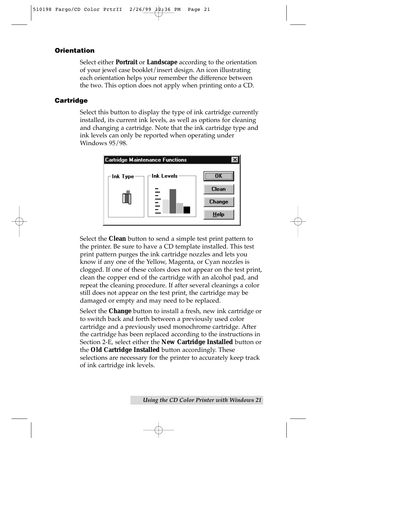#### **Orientation**

Select either **Portrait** or **Landscape** according to the orientation of your jewel case booklet/insert design. An icon illustrating each orientation helps your remember the difference between the two. This option does not apply when printing onto a CD.

#### **Cartridge**

Select this button to display the type of ink cartridge currently installed, its current ink levels, as well as options for cleaning and changing a cartridge. Note that the ink cartridge type and ink levels can only be reported when operating under Windows 95/98.



Select the **Clean** button to send a simple test print pattern to the printer. Be sure to have a CD template installed. This test print pattern purges the ink cartridge nozzles and lets you know if any one of the Yellow, Magenta, or Cyan nozzles is clogged. If one of these colors does not appear on the test print, clean the copper end of the cartridge with an alcohol pad, and repeat the cleaning procedure. If after several cleanings a color still does not appear on the test print, the cartridge may be damaged or empty and may need to be replaced.

Select the **Change** button to install a fresh, new ink cartridge or to switch back and forth between a previously used color cartridge and a previously used monochrome cartridge. After the cartridge has been replaced according to the instructions in Section 2-E, select either the **New Cartridge Installed** button or the **Old Cartridge Installed** button accordingly. These selections are necessary for the printer to accurately keep track of ink cartridge ink levels.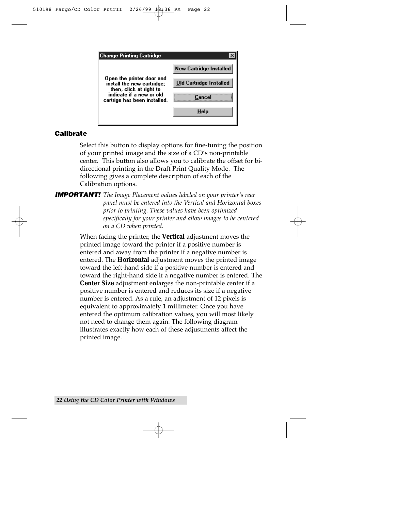

#### **Calibrate**

Select this button to display options for fine-tuning the position of your printed image and the size of a CD's non-printable center. This button also allows you to calibrate the offset for bidirectional printing in the Draft Print Quality Mode. The following gives a complete description of each of the Calibration options.

**IMPORTANT!** *The Image Placement values labeled on your printer's rear panel must be entered into the Vertical and Horizontal boxes prior to printing. These values have been optimized specifically for your printer and allow images to be centered on a CD when printed.*

> When facing the printer, the **Vertical** adjustment moves the printed image toward the printer if a positive number is entered and away from the printer if a negative number is entered. The **Horizontal** adjustment moves the printed image toward the left-hand side if a positive number is entered and toward the right-hand side if a negative number is entered. The **Center Size** adjustment enlarges the non-printable center if a positive number is entered and reduces its size if a negative number is entered. As a rule, an adjustment of 12 pixels is equivalent to approximately 1 millimeter. Once you have entered the optimum calibration values, you will most likely not need to change them again. The following diagram illustrates exactly how each of these adjustments affect the printed image.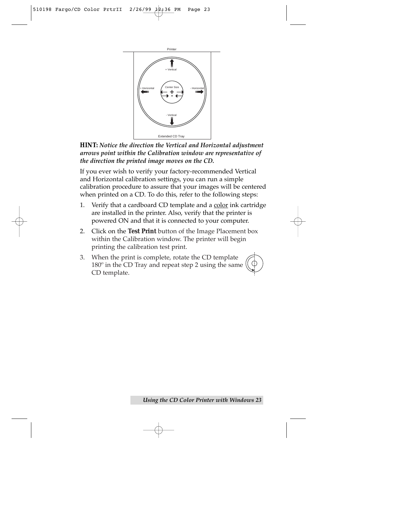

**HINT:** *Notice the direction the Vertical and Horizontal adjustment arrows point within the Calibration window are representative of the direction the printed image moves on the CD.*

If you ever wish to verify your factory-recommended Vertical and Horizontal calibration settings, you can run a simple calibration procedure to assure that your images will be centered when printed on a CD. To do this, refer to the following steps:

- 1. Verify that a cardboard CD template and a color ink cartridge are installed in the printer. Also, verify that the printer is powered ON and that it is connected to your computer.
- 2. Click on the **Test Print** button of the Image Placement box within the Calibration window. The printer will begin printing the calibration test print.
- 3. When the print is complete, rotate the CD template 180º in the CD Tray and repeat step 2 using the same CD template.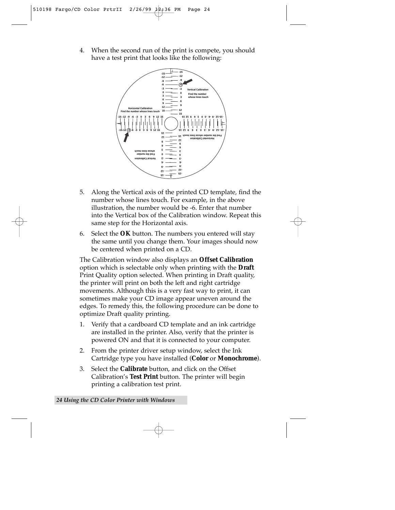4. When the second run of the print is compete, you should have a test print that looks like the following:



- 5. Along the Vertical axis of the printed CD template, find the number whose lines touch. For example, in the above illustration, the number would be -6. Enter that number into the Vertical box of the Calibration window. Repeat this same step for the Horizontal axis.
- 6. Select the **OK** button. The numbers you entered will stay the same until you change them. Your images should now be centered when printed on a CD.

The Calibration window also displays an **Offset Calibration** option which is selectable only when printing with the **Draft** Print Quality option selected. When printing in Draft quality, the printer will print on both the left and right cartridge movements. Although this is a very fast way to print, it can sometimes make your CD image appear uneven around the edges. To remedy this, the following procedure can be done to optimize Draft quality printing.

- 1. Verify that a cardboard CD template and an ink cartridge are installed in the printer. Also, verify that the printer is powered ON and that it is connected to your computer.
- 2. From the printer driver setup window, select the Ink Cartridge type you have installed (**Color** or **Monochrome**).
- 3. Select the **Calibrate** button, and click on the Offset Calibration's **Test Print** button. The printer will begin printing a calibration test print.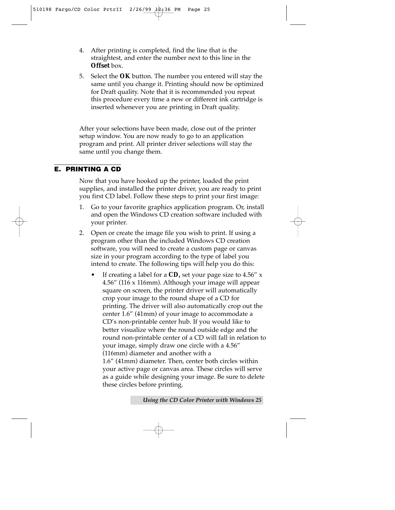- 4. After printing is completed, find the line that is the straightest, and enter the number next to this line in the **Offset** box.
- 5. Select the **OK** button. The number you entered will stay the same until you change it. Printing should now be optimized for Draft quality. Note that it is recommended you repeat this procedure every time a new or different ink cartridge is inserted whenever you are printing in Draft quality.

After your selections have been made, close out of the printer setup window. You are now ready to go to an application program and print. All printer driver selections will stay the same until you change them.

#### **E. PRINTING A CD**

Now that you have hooked up the printer, loaded the print supplies, and installed the printer driver, you are ready to print you first CD label. Follow these steps to print your first image:

- 1. Go to your favorite graphics application program. Or, install and open the Windows CD creation software included with your printer.
- 2. Open or create the image file you wish to print. If using a program other than the included Windows CD creation software, you will need to create a custom page or canvas size in your program according to the type of label you intend to create. The following tips will help you do this:
	- If creating a label for a **CD,** set your page size to 4.56" x 4.56" (116 x 116mm). Although your image will appear square on screen, the printer driver will automatically crop your image to the round shape of a CD for printing. The driver will also automatically crop out the center 1.6" (41mm) of your image to accommodate a CD's non-printable center hub. If you would like to better visualize where the round outside edge and the round non-printable center of a CD will fall in relation to your image, simply draw one circle with a 4.56" (116mm) diameter and another with a 1.6" (41mm) diameter. Then, center both circles within your active page or canvas area. These circles will serve as a guide while designing your image. Be sure to delete these circles before printing.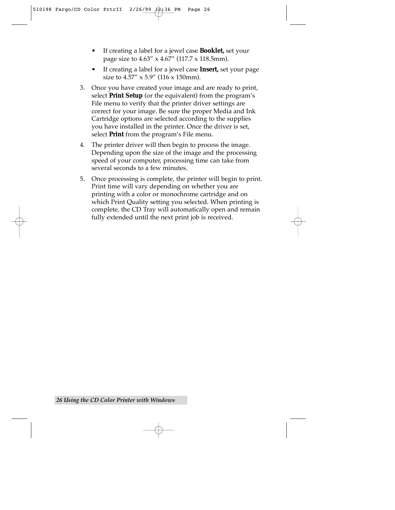- If creating a label for a jewel case **Booklet,** set your page size to 4.63" x 4.67" (117.7 x 118.5mm).
- If creating a label for a jewel case **Insert,** set your page size to 4.57" x 5.9" (116 x 150mm).
- 3. Once you have created your image and are ready to print, select **Print Setup** (or the equivalent) from the program's File menu to verify that the printer driver settings are correct for your image. Be sure the proper Media and Ink Cartridge options are selected according to the supplies you have installed in the printer. Once the driver is set, select **Print** from the program's File menu.
- 4. The printer driver will then begin to process the image. Depending upon the size of the image and the processing speed of your computer, processing time can take from several seconds to a few minutes.
- 5. Once processing is complete, the printer will begin to print. Print time will vary depending on whether you are printing with a color or monochrome cartridge and on which Print Quality setting you selected. When printing is complete, the CD Tray will automatically open and remain fully extended until the next print job is received.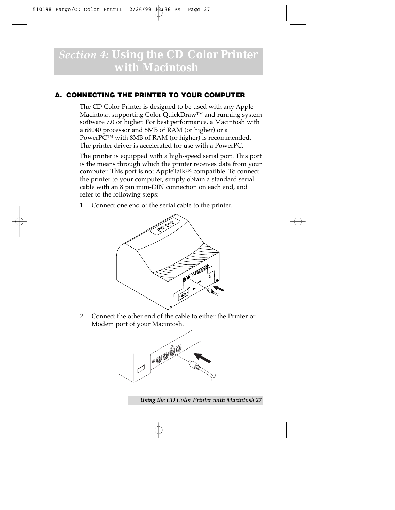### *Section 4:* **Using the CD Color Printer with Macintosh**

#### **A. CONNECTING THE PRINTER TO YOUR COMPUTER**

The CD Color Printer is designed to be used with any Apple Macintosh supporting Color QuickDraw™ and running system software 7.0 or higher. For best performance, a Macintosh with a 68040 processor and 8MB of RAM (or higher) or a PowerPC™ with 8MB of RAM (or higher) is recommended. The printer driver is accelerated for use with a PowerPC.

The printer is equipped with a high-speed serial port. This port is the means through which the printer receives data from your computer. This port is not AppleTalk™ compatible. To connect the printer to your computer, simply obtain a standard serial cable with an 8 pin mini-DIN connection on each end, and refer to the following steps:

1. Connect one end of the serial cable to the printer.



2. Connect the other end of the cable to either the Printer or Modem port of your Macintosh.



*Using the CD Color Printer with Macintosh 27*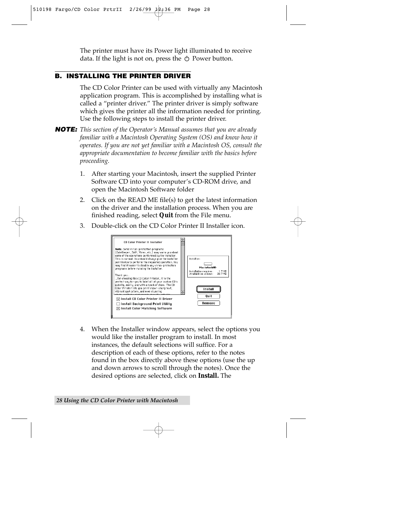The printer must have its Power light illuminated to receive data. If the light is not on, press the  $\circlearrowleft$  Power button.

#### **B. INSTALLING THE PRINTER DRIVER**

The CD Color Printer can be used with virtually any Macintosh application program. This is accomplished by installing what is called a "printer driver." The printer driver is simply software which gives the printer all the information needed for printing. Use the following steps to install the printer driver.

**NOTE:** *This section of the Operator's Manual assumes that you are already familiar with a Macintosh Operating System (OS) and know how it operates. If you are not yet familiar with a Macintosh OS, consult the appropriate documentation to become familiar with the basics before proceeding.*

- 1. After starting your Macintosh, insert the supplied Printer Software CD into your computer's CD-ROM drive, and open the Macintosh Software folder
- 2. Click on the READ ME file(s) to get the latest information on the driver and the installation process. When you are finished reading, select **Quit** from the File menu.
- 3. Double-click on the CD Color Printer II Installer icon.



4. When the Installer window appears, select the options you would like the installer program to install. In most instances, the default selections will suffice. For a description of each of these options, refer to the notes found in the box directly above these options (use the up and down arrows to scroll through the notes). Once the desired options are selected, click on **Install.** The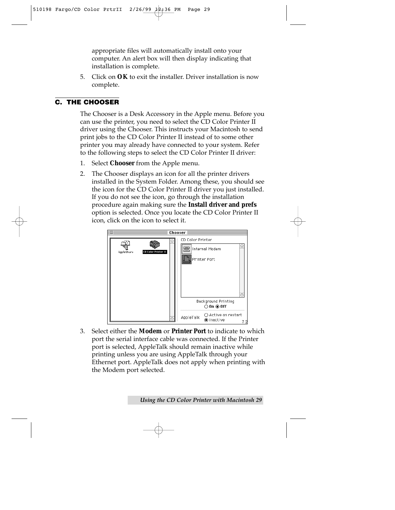appropriate files will automatically install onto your computer. An alert box will then display indicating that installation is complete.

5. Click on **OK** to exit the installer. Driver installation is now complete.

#### **C. THE CHOOSER**

The Chooser is a Desk Accessory in the Apple menu. Before you can use the printer, you need to select the CD Color Printer II driver using the Chooser. This instructs your Macintosh to send print jobs to the CD Color Printer II instead of to some other printer you may already have connected to your system. Refer to the following steps to select the CD Color Printer II driver:

- 1. Select **Chooser** from the Apple menu.
- 2. The Chooser displays an icon for all the printer drivers installed in the System Folder. Among these, you should see the icon for the CD Color Printer II driver you just installed. If you do not see the icon, go through the installation procedure again making sure the **Install driver and prefs** option is selected. Once you locate the CD Color Printer II icon, click on the icon to select it.



3. Select either the **Modem** or **Printer Port** to indicate to which port the serial interface cable was connected. If the Printer port is selected, AppleTalk should remain inactive while printing unless you are using AppleTalk through your Ethernet port. AppleTalk does not apply when printing with the Modem port selected.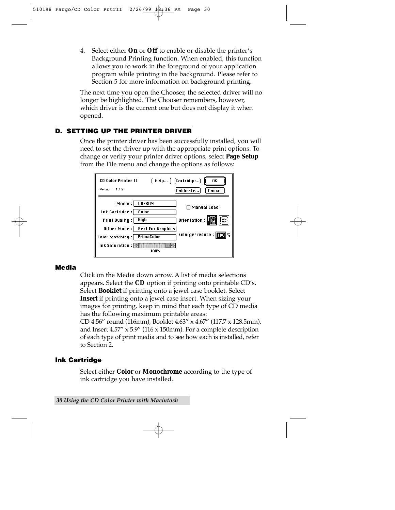4. Select either **On** or **Off** to enable or disable the printer's Background Printing function. When enabled, this function allows you to work in the foreground of your application program while printing in the background. Please refer to Section 5 for more information on background printing.

The next time you open the Chooser, the selected driver will no longer be highlighted. The Chooser remembers, however, which driver is the current one but does not display it when opened.

#### **D. SETTING UP THE PRINTER DRIVER**

Once the printer driver has been successfully installed, you will need to set the driver up with the appropriate print options. To change or verify your printer driver options, select **Page Setup** from the File menu and change the options as follows:



#### **Media**

Click on the Media down arrow. A list of media selections appears. Select the **CD** option if printing onto printable CD's. Select **Booklet** if printing onto a jewel case booklet. Select **Insert** if printing onto a jewel case insert. When sizing your images for printing, keep in mind that each type of CD media has the following maximum printable areas:

CD 4.56" round (116mm), Booklet 4.63" x 4.67" (117.7 x 128.5mm), and Insert 4.57" x 5.9" (116 x 150mm). For a complete description of each type of print media and to see how each is installed, refer to Section 2.

#### **Ink Cartridge**

Select either **Color** or **Monochrome** according to the type of ink cartridge you have installed.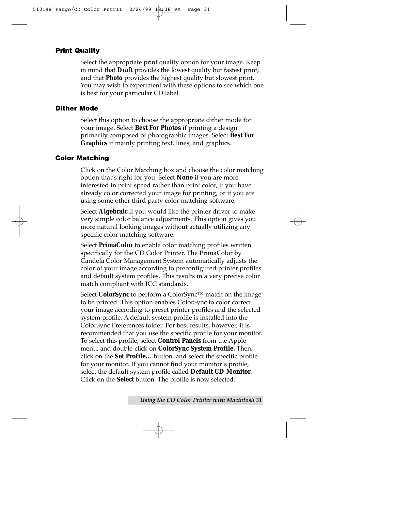#### **Print Quality**

Select the appropriate print quality option for your image. Keep in mind that **Draft** provides the lowest quality but fastest print, and that **Photo** provides the highest quality but slowest print. You may wish to experiment with these options to see which one is best for your particular CD label.

#### **Dither Mode**

Select this option to choose the appropriate dither mode for your image. Select **Best For Photos** if printing a design primarily composed of photographic images. Select **Best For Graphics** if mainly printing text, lines, and graphics.

#### **Color Matching**

Click on the Color Matching box and choose the color matching option that's right for you. Select **None** if you are more interested in print speed rather than print color, if you have already color corrected your image for printing, or if you are using some other third party color matching software.

Select **Algebraic** if you would like the printer driver to make very simple color balance adjustments. This option gives you more natural looking images without actually utilizing any specific color matching software.

Select **PrimaColor** to enable color matching profiles written specifically for the CD Color Printer. The PrimaColor by Candela Color Management System automatically adjusts the color of your image according to preconfigured printer profiles and default system profiles. This results in a very precise color match compliant with ICC standards.

Select **ColorSync** to perform a ColorSync™ match on the image to be printed. This option enables ColorSync to color correct your image according to preset printer profiles and the selected system profile. A default system profile is installed into the ColorSync Preferences folder. For best results, however, it is recommended that you use the specific profile for your monitor. To select this profile, select **Control Panels** from the Apple menu, and double-click on **ColorSync System Profile.** Then, click on the **Set Profile…** button, and select the specific profile for your monitor. If you cannot find your monitor's profile, select the default system profile called **Default CD Monitor.** Click on the **Select** button. The profile is now selected.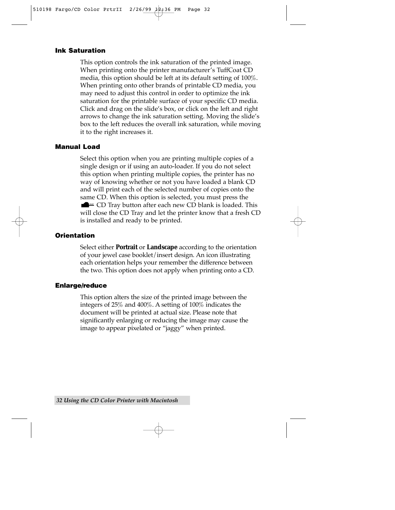#### **Ink Saturation**

This option controls the ink saturation of the printed image. When printing onto the printer manufacturer's TuffCoat CD media, this option should be left at its default setting of 100%. When printing onto other brands of printable CD media, you may need to adjust this control in order to optimize the ink saturation for the printable surface of your specific CD media. Click and drag on the slide's box, or click on the left and right arrows to change the ink saturation setting. Moving the slide's box to the left reduces the overall ink saturation, while moving it to the right increases it.

#### **Manual Load**

Select this option when you are printing multiple copies of a single design or if using an auto-loader. If you do not select this option when printing multiple copies, the printer has no way of knowing whether or not you have loaded a blank CD and will print each of the selected number of copies onto the same CD. When this option is selected, you must press the  $\blacksquare$   $\blacksquare$   $\blacksquare$   $\blacksquare$   $\blacksquare$   $\blacksquare$   $\blacksquare$   $\blacksquare$   $\blacksquare$   $\blacksquare$   $\blacksquare$   $\blacksquare$   $\blacksquare$   $\blacksquare$   $\blacksquare$   $\blacksquare$   $\blacksquare$   $\blacksquare$   $\blacksquare$   $\blacksquare$   $\blacksquare$   $\blacksquare$   $\blacksquare$   $\blacksquare$   $\blacksquare$   $\blacksquare$   $\blacksquare$   $\blacksquare$   $\blacksquare$   $\blacksquare$   $\blacksquare$   $\blacks$ will close the CD Tray and let the printer know that a fresh CD is installed and ready to be printed.

#### **Orientation**

Select either **Portrait** or **Landscape** according to the orientation of your jewel case booklet/insert design. An icon illustrating each orientation helps your remember the difference between the two. This option does not apply when printing onto a CD.

#### **Enlarge/reduce**

This option alters the size of the printed image between the integers of 25% and 400%. A setting of 100% indicates the document will be printed at actual size. Please note that significantly enlarging or reducing the image may cause the image to appear pixelated or "jaggy" when printed.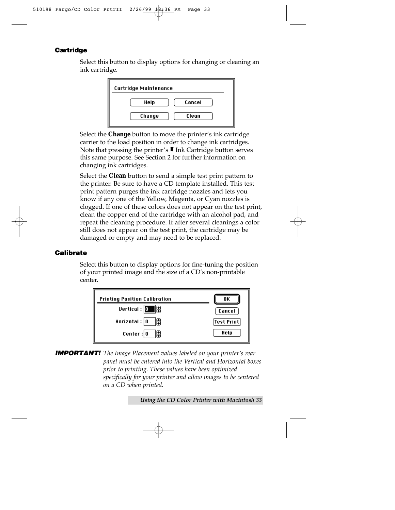#### **Cartridge**

Select this button to display options for changing or cleaning an ink cartridge.



Select the **Change** button to move the printer's ink cartridge carrier to the load position in order to change ink cartridges. Note that pressing the printer's  $\blacksquare$  Ink Cartridge button serves this same purpose. See Section 2 for further information on changing ink cartridges.

Select the **Clean** button to send a simple test print pattern to the printer. Be sure to have a CD template installed. This test print pattern purges the ink cartridge nozzles and lets you know if any one of the Yellow, Magenta, or Cyan nozzles is clogged. If one of these colors does not appear on the test print, clean the copper end of the cartridge with an alcohol pad, and repeat the cleaning procedure. If after several cleanings a color still does not appear on the test print, the cartridge may be damaged or empty and may need to be replaced.

#### **Calibrate**

Select this button to display options for fine-tuning the position of your printed image and the size of a CD's non-printable center.



**IMPORTANT!** *The Image Placement values labeled on your printer's rear panel must be entered into the Vertical and Horizontal boxes prior to printing. These values have been optimized specifically for your printer and allow images to be centered on a CD when printed.*

*Using the CD Color Printer with Macintosh 33*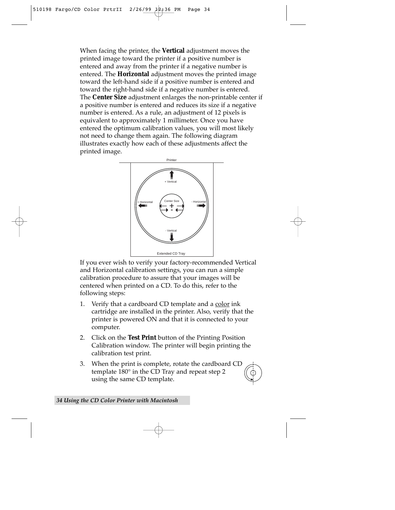When facing the printer, the **Vertical** adjustment moves the printed image toward the printer if a positive number is entered and away from the printer if a negative number is entered. The **Horizontal** adjustment moves the printed image toward the left-hand side if a positive number is entered and toward the right-hand side if a negative number is entered. The **Center Size** adjustment enlarges the non-printable center if a positive number is entered and reduces its size if a negative number is entered. As a rule, an adjustment of 12 pixels is equivalent to approximately 1 millimeter. Once you have entered the optimum calibration values, you will most likely not need to change them again. The following diagram illustrates exactly how each of these adjustments affect the printed image.



If you ever wish to verify your factory-recommended Vertical and Horizontal calibration settings, you can run a simple calibration procedure to assure that your images will be centered when printed on a CD. To do this, refer to the following steps:

- 1. Verify that a cardboard CD template and a color ink cartridge are installed in the printer. Also, verify that the printer is powered ON and that it is connected to your computer.
- 2. Click on the **Test Print** button of the Printing Position Calibration window. The printer will begin printing the calibration test print.
- 3. When the print is complete, rotate the cardboard CD template 180° in the CD Tray and repeat step 2 using the same CD template.

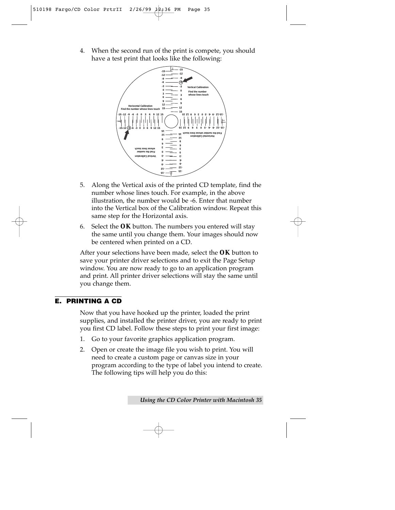4. When the second run of the print is compete, you should have a test print that looks like the following:



- 5. Along the Vertical axis of the printed CD template, find the number whose lines touch. For example, in the above illustration, the number would be -6. Enter that number into the Vertical box of the Calibration window. Repeat this same step for the Horizontal axis.
- 6. Select the **OK** button. The numbers you entered will stay the same until you change them. Your images should now be centered when printed on a CD.

After your selections have been made, select the **OK** button to save your printer driver selections and to exit the Page Setup window. You are now ready to go to an application program and print. All printer driver selections will stay the same until you change them.

#### **E. PRINTING A CD**

Now that you have hooked up the printer, loaded the print supplies, and installed the printer driver, you are ready to print you first CD label. Follow these steps to print your first image:

- 1. Go to your favorite graphics application program.
- 2. Open or create the image file you wish to print. You will need to create a custom page or canvas size in your program according to the type of label you intend to create. The following tips will help you do this: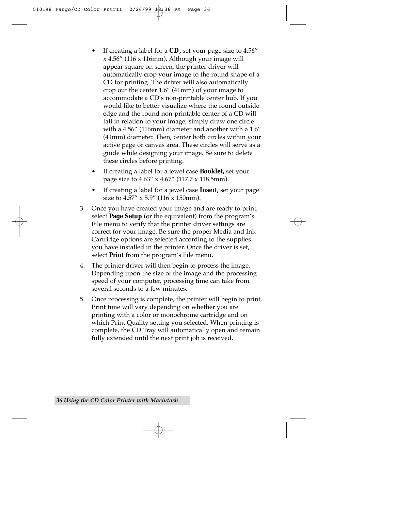- If creating a label for a **CD**, set your page size to 4.56" x 4.56" (116 x 116mm). Although your image will appear square on screen, the printer driver will automatically crop your image to the round shape of a CD for printing. The driver will also automatically crop out the center 1.6" (41mm) of your image to accommodate a CD's non-printable center hub. If you would like to better visualize where the round outside edge and the round non-printable center of a CD will fall in relation to your image, simply draw one circle with a 4.56" (116mm) diameter and another with a 1.6" (41mm) diameter. Then, center both circles within your active page or canvas area. These circles will serve as a guide while designing your image. Be sure to delete these circles before printing.
- If creating a label for a jewel case **Booklet,** set your page size to 4.63" x 4.67" (117.7 x 118.5mm).
- If creating a label for a jewel case **Insert,** set your page size to 4.57" x 5.9" (116 x 150mm).
- 3. Once you have created your image and are ready to print, select **Page Setup** (or the equivalent) from the program's File menu to verify that the printer driver settings are correct for your image. Be sure the proper Media and Ink Cartridge options are selected according to the supplies you have installed in the printer. Once the driver is set, select **Print** from the program's File menu.
- 4. The printer driver will then begin to process the image. Depending upon the size of the image and the processing speed of your computer, processing time can take from several seconds to a few minutes.
- 5. Once processing is complete, the printer will begin to print. Print time will vary depending on whether you are printing with a color or monochrome cartridge and on which Print Quality setting you selected. When printing is complete, the CD Tray will automatically open and remain fully extended until the next print job is received.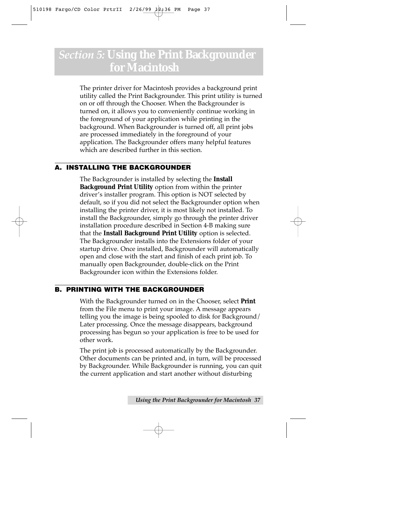### *Section 5:* **Using the Print Backgrounder for Macintosh**

The printer driver for Macintosh provides a background print utility called the Print Backgrounder. This print utility is turned on or off through the Chooser. When the Backgrounder is turned on, it allows you to conveniently continue working in the foreground of your application while printing in the background. When Backgrounder is turned off, all print jobs are processed immediately in the foreground of your application. The Backgrounder offers many helpful features which are described further in this section.

#### **A. INSTALLING THE BACKGROUNDER**

The Backgrounder is installed by selecting the **Install Background Print Utility** option from within the printer driver's installer program. This option is NOT selected by default, so if you did not select the Backgrounder option when installing the printer driver, it is most likely not installed. To install the Backgrounder, simply go through the printer driver installation procedure described in Section 4-B making sure that the **Install Background Print Utility** option is selected. The Backgrounder installs into the Extensions folder of your startup drive. Once installed, Backgrounder will automatically open and close with the start and finish of each print job. To manually open Backgrounder, double-click on the Print Backgrounder icon within the Extensions folder.

#### **B. PRINTING WITH THE BACKGROUNDER**

With the Backgrounder turned on in the Chooser, select **Print** from the File menu to print your image. A message appears telling you the image is being spooled to disk for Background/ Later processing. Once the message disappears, background processing has begun so your application is free to be used for other work.

The print job is processed automatically by the Backgrounder. Other documents can be printed and, in turn, will be processed by Backgrounder. While Backgrounder is running, you can quit the current application and start another without disturbing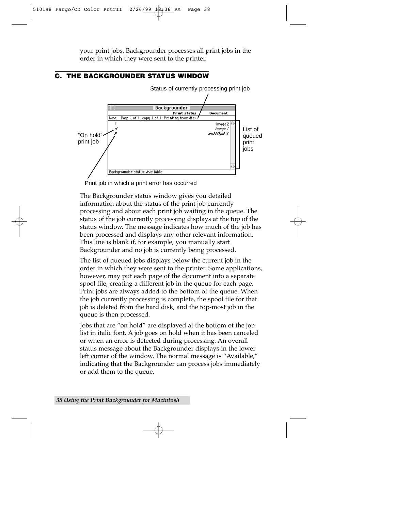your print jobs. Backgrounder processes all print jobs in the order in which they were sent to the printer.

#### **C. THE BACKGROUNDER STATUS WINDOW**



Status of currently processing print job

Print job in which a print error has occurred

The Backgrounder status window gives you detailed information about the status of the print job currently processing and about each print job waiting in the queue. The status of the job currently processing displays at the top of the status window. The message indicates how much of the job has been processed and displays any other relevant information. This line is blank if, for example, you manually start Backgrounder and no job is currently being processed.

The list of queued jobs displays below the current job in the order in which they were sent to the printer. Some applications, however, may put each page of the document into a separate spool file, creating a different job in the queue for each page. Print jobs are always added to the bottom of the queue. When the job currently processing is complete, the spool file for that job is deleted from the hard disk, and the top-most job in the queue is then processed.

Jobs that are "on hold" are displayed at the bottom of the job list in italic font. A job goes on hold when it has been canceled or when an error is detected during processing. An overall status message about the Backgrounder displays in the lower left corner of the window. The normal message is "Available," indicating that the Backgrounder can process jobs immediately or add them to the queue.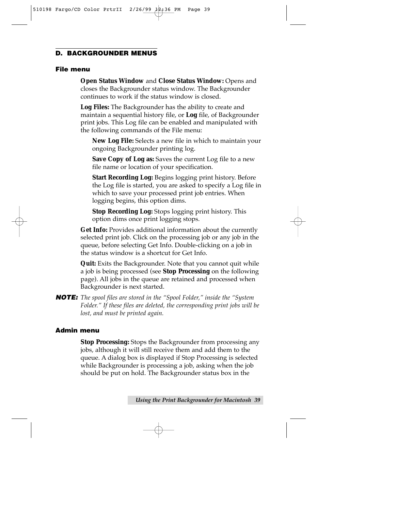#### **D. BACKGROUNDER MENUS**

#### **File menu**

**Open Status Window** and **Close Status Window:** Opens and closes the Backgrounder status window. The Backgrounder continues to work if the status window is closed.

**Log Files:** The Backgrounder has the ability to create and maintain a sequential history file, or **Log** file, of Backgrounder print jobs. This Log file can be enabled and manipulated with the following commands of the File menu:

**New Log File:** Selects a new file in which to maintain your ongoing Backgrounder printing log.

**Save Copy of Log as:** Saves the current Log file to a new file name or location of your specification.

**Start Recording Log:** Begins logging print history. Before the Log file is started, you are asked to specify a Log file in which to save your processed print job entries. When logging begins, this option dims.

**Stop Recording Log:** Stops logging print history. This option dims once print logging stops.

**Get Info:** Provides additional information about the currently selected print job. Click on the processing job or any job in the queue, before selecting Get Info. Double-clicking on a job in the status window is a shortcut for Get Info.

**Quit:** Exits the Backgrounder. Note that you cannot quit while a job is being processed (see **Stop Processing** on the following page). All jobs in the queue are retained and processed when Backgrounder is next started.

**NOTE:** *The spool files are stored in the "Spool Folder," inside the "System Folder." If these files are deleted, the corresponding print jobs will be lost, and must be printed again.* 

#### **Admin menu**

**Stop Processing:** Stops the Backgrounder from processing any jobs, although it will still receive them and add them to the queue. A dialog box is displayed if Stop Processing is selected while Backgrounder is processing a job, asking when the job should be put on hold. The Backgrounder status box in the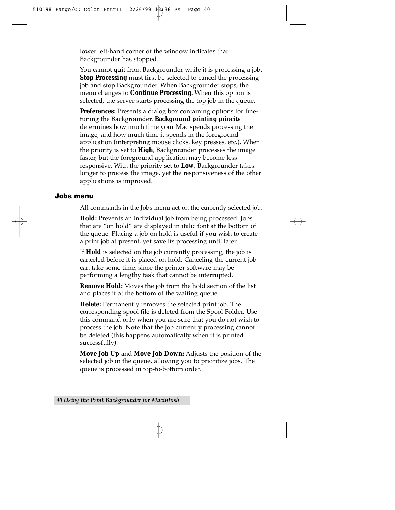lower left-hand corner of the window indicates that Backgrounder has stopped.

You cannot quit from Backgrounder while it is processing a job. **Stop Processing** must first be selected to cancel the processing job and stop Backgrounder. When Backgrounder stops, the menu changes to **Continue Processing.** When this option is selected, the server starts processing the top job in the queue.

**Preferences:** Presents a dialog box containing options for finetuning the Backgrounder. **Background printing priority** determines how much time your Mac spends processing the image, and how much time it spends in the foreground application (interpreting mouse clicks, key presses, etc.). When the priority is set to **High**, Backgrounder processes the image faster, but the foreground application may become less responsive. With the priority set to **Low**, Backgrounder takes longer to process the image, yet the responsiveness of the other applications is improved.

#### **Jobs menu**

All commands in the Jobs menu act on the currently selected job.

**Hold:** Prevents an individual job from being processed. Jobs that are "on hold" are displayed in italic font at the bottom of the queue. Placing a job on hold is useful if you wish to create a print job at present, yet save its processing until later.

If **Hold** is selected on the job currently processing, the job is canceled before it is placed on hold. Canceling the current job can take some time, since the printer software may be performing a lengthy task that cannot be interrupted.

**Remove Hold:** Moves the job from the hold section of the list and places it at the bottom of the waiting queue.

**Delete:** Permanently removes the selected print job. The corresponding spool file is deleted from the Spool Folder. Use this command only when you are sure that you do not wish to process the job. Note that the job currently processing cannot be deleted (this happens automatically when it is printed successfully).

**Move Job Up** and **Move Job Down:** Adjusts the position of the selected job in the queue, allowing you to prioritize jobs. The queue is processed in top-to-bottom order.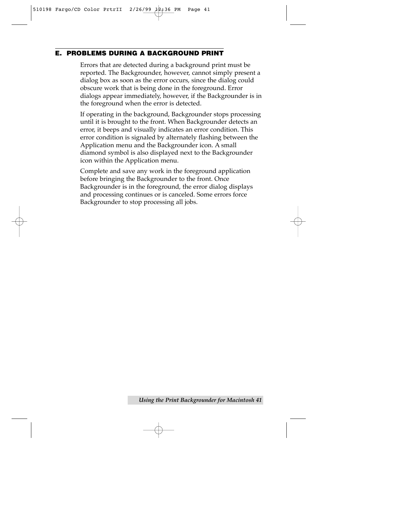#### **E. PROBLEMS DURING A BACKGROUND PRINT**

Errors that are detected during a background print must be reported. The Backgrounder, however, cannot simply present a dialog box as soon as the error occurs, since the dialog could obscure work that is being done in the foreground. Error dialogs appear immediately, however, if the Backgrounder is in the foreground when the error is detected.

If operating in the background, Backgrounder stops processing until it is brought to the front. When Backgrounder detects an error, it beeps and visually indicates an error condition. This error condition is signaled by alternately flashing between the Application menu and the Backgrounder icon. A small diamond symbol is also displayed next to the Backgrounder icon within the Application menu.

Complete and save any work in the foreground application before bringing the Backgrounder to the front. Once Backgrounder is in the foreground, the error dialog displays and processing continues or is canceled. Some errors force Backgrounder to stop processing all jobs.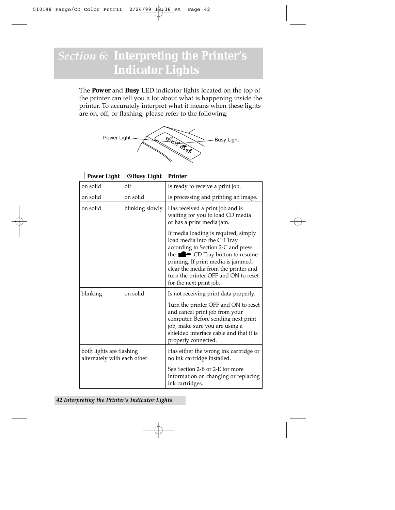### *Section 6:* **Interpreting the Printer's Indicator Lights**

The **Power** and **Busy** LED indicator lights located on the top of the printer can tell you a lot about what is happening inside the printer. To accurately interpret what it means when these lights are on, off, or flashing, please refer to the following:



```
Power Light ©Busy Light Printer
```

| on solid                                                | off             | Is ready to receive a print job.                                                                                                                                                                                                                                                                           |  |
|---------------------------------------------------------|-----------------|------------------------------------------------------------------------------------------------------------------------------------------------------------------------------------------------------------------------------------------------------------------------------------------------------------|--|
| on solid                                                | on solid        | Is processing and printing an image.                                                                                                                                                                                                                                                                       |  |
| on solid                                                | blinking slowly | Has received a print job and is<br>waiting for you to load CD media<br>or has a print media jam.                                                                                                                                                                                                           |  |
|                                                         |                 | If media loading is required, simply<br>load media into the CD Tray<br>according to Section 2-C and press<br>the $\blacksquare$ CD Tray button to resume<br>printing. If print media is jammed,<br>clear the media from the printer and<br>turn the printer OFF and ON to reset<br>for the next print job. |  |
| blinking                                                | on solid        | Is not receiving print data properly.<br>Turn the printer OFF and ON to reset<br>and cancel print job from your<br>computer. Before sending next print                                                                                                                                                     |  |
|                                                         |                 | job, make sure you are using a<br>shielded interface cable and that it is<br>properly connected.                                                                                                                                                                                                           |  |
| both lights are flashing<br>alternately with each other |                 | Has either the wrong ink cartridge or<br>no ink cartridge installed.                                                                                                                                                                                                                                       |  |
|                                                         |                 | See Section 2-B or 2-E for more<br>information on changing or replacing<br>ink cartridges.                                                                                                                                                                                                                 |  |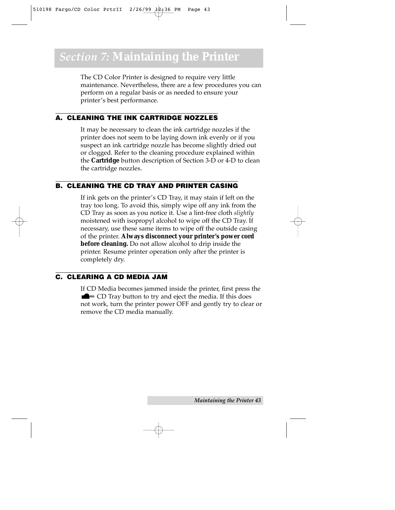The CD Color Printer is designed to require very little maintenance. Nevertheless, there are a few procedures you can perform on a regular basis or as needed to ensure your printer's best performance.

#### **A. CLEANING THE INK CARTRIDGE NOZZLES**

It may be necessary to clean the ink cartridge nozzles if the printer does not seem to be laying down ink evenly or if you suspect an ink cartridge nozzle has become slightly dried out or clogged. Refer to the cleaning procedure explained within the **Cartridge** button description of Section 3-D or 4-D to clean the cartridge nozzles.

#### **B. CLEANING THE CD TRAY AND PRINTER CASING**

If ink gets on the printer's CD Tray, it may stain if left on the tray too long. To avoid this, simply wipe off any ink from the CD Tray as soon as you notice it. Use a lint-free cloth *slightly* moistened with isopropyl alcohol to wipe off the CD Tray. If necessary, use these same items to wipe off the outside casing of the printer. **Always disconnect your printer's power cord before cleaning.** Do not allow alcohol to drip inside the printer. Resume printer operation only after the printer is completely dry.

#### **C. CLEARING A CD MEDIA JAM**

If CD Media becomes jammed inside the printer, first press the CD Tray button to try and eject the media. If this does not work, turn the printer power OFF and gently try to clear or remove the CD media manually.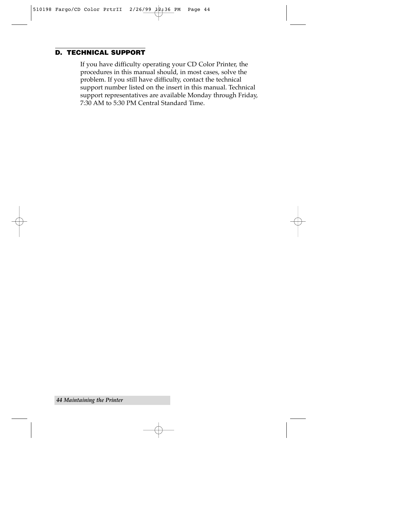#### **D. TECHNICAL SUPPORT**

If you have difficulty operating your CD Color Printer, the procedures in this manual should, in most cases, solve the problem. If you still have difficulty, contact the technical support number listed on the insert in this manual. Technical support representatives are available Monday through Friday, 7:30 AM to 5:30 PM Central Standard Time.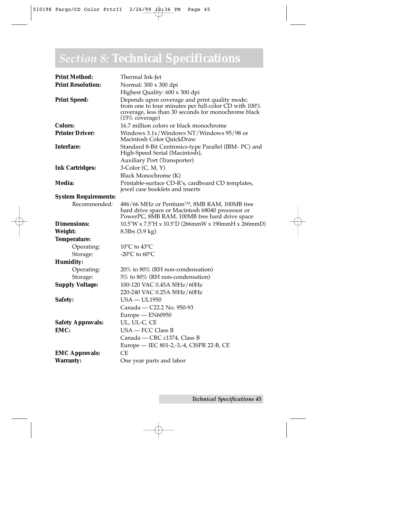### *Section 8:* **Technical Specifications**

| <b>Print Method:</b>        | Thermal Ink-Jet                                                                                                                                                                           |  |
|-----------------------------|-------------------------------------------------------------------------------------------------------------------------------------------------------------------------------------------|--|
| <b>Print Resolution:</b>    | Normal: 300 x 300 dpi                                                                                                                                                                     |  |
|                             | Highest Quality: 600 x 300 dpi                                                                                                                                                            |  |
| <b>Print Speed:</b>         | Depends upon coverage and print quality mode;<br>from one to four minutes per full-color CD with 100%<br>coverage, less than 30 seconds for monochrome black<br>$(15\% \text{ coverage})$ |  |
| <b>Colors:</b>              | 16.7 million colors or black monochrome                                                                                                                                                   |  |
| <b>Printer Driver:</b>      | Windows $3.1x$ /Windows NT/Windows 95/98 or<br>Macintosh Color QuickDraw                                                                                                                  |  |
| <b>Interface:</b>           | Standard 8-Bit Centronics-type Parallel (IBM- PC) and<br>High-Speed Serial (Macintosh),                                                                                                   |  |
|                             | <b>Auxiliary Port (Transporter)</b>                                                                                                                                                       |  |
| <b>Ink Cartridges:</b>      | 3-Color (C, M, Y)                                                                                                                                                                         |  |
|                             | Black Monochrome (K)                                                                                                                                                                      |  |
| Media:                      | Printable-surface CD-R's, cardboard CD templates,<br>jewel case booklets and inserts                                                                                                      |  |
| <b>System Requirements:</b> |                                                                                                                                                                                           |  |
| Recommended:                | 486/66 MHz or Pentium™, 8MB RAM, 100MB free<br>hard drive space or Macintosh 68040 processor or<br>PowerPC, 8MB RAM, 100MB free hard drive space                                          |  |
| <b>Dimensions:</b>          | $10.5$ "W x 7.5"H x 10.5"D (266mmW x 190mmH x 266mmD)                                                                                                                                     |  |
| Weight:                     | 8.5lbs (3.9 kg)                                                                                                                                                                           |  |
| Temperature:                |                                                                                                                                                                                           |  |
| Operating:                  | 10 $\rm{^{\circ}C}$ to 43 $\rm{^{\circ}C}$                                                                                                                                                |  |
| Storage:                    | -20 $\rm{^{\circ}C}$ to 60 $\rm{^{\circ}C}$                                                                                                                                               |  |
| <b>Humidity:</b>            |                                                                                                                                                                                           |  |
| Operating:                  | $20\%$ to 80% (RH non-condensation)                                                                                                                                                       |  |
| Storage:                    | 5% to 80% (RH non-condensation)                                                                                                                                                           |  |
| <b>Supply Voltage:</b>      | 100-120 VAC 0.45A 50Hz/60Hz                                                                                                                                                               |  |
|                             | 220-240 VAC 0.25A 50Hz/60Hz                                                                                                                                                               |  |
| Safety:                     | $USA - UL1950$                                                                                                                                                                            |  |
|                             | Canada - C22.2 No. 950-93                                                                                                                                                                 |  |
|                             | Europe - EN60950                                                                                                                                                                          |  |
| <b>Safety Approvals:</b>    | UL, UL-C, CE                                                                                                                                                                              |  |
| EMC:                        | $USA - FCC Class B$                                                                                                                                                                       |  |
|                             | Canada - CRC c1374, Class B                                                                                                                                                               |  |
|                             | Europe - IEC 801-2,-3,-4, CISPR 22-B, CE                                                                                                                                                  |  |
| <b>EMC Approvals:</b>       | СE                                                                                                                                                                                        |  |
| <b>Warranty:</b>            | One year parts and labor                                                                                                                                                                  |  |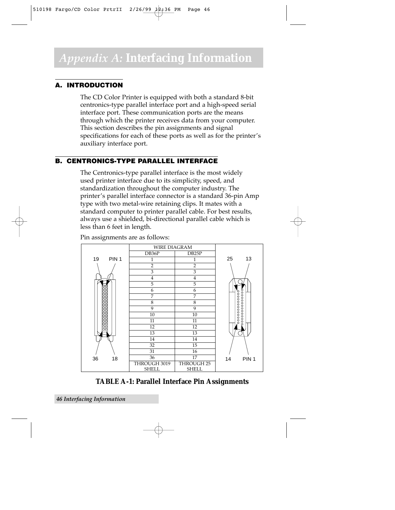#### **A. INTRODUCTION**

The CD Color Printer is equipped with both a standard 8-bit centronics-type parallel interface port and a high-speed serial interface port. These communication ports are the means through which the printer receives data from your computer. This section describes the pin assignments and signal specifications for each of these ports as well as for the printer's auxiliary interface port.

#### **B. CENTRONICS-TYPE PARALLEL INTERFACE**

The Centronics-type parallel interface is the most widely used printer interface due to its simplicity, speed, and standardization throughout the computer industry. The printer's parallel interface connector is a standard 36-pin Amp type with two metal-wire retaining clips. It mates with a standard computer to printer parallel cable. For best results, always use a shielded, bi-directional parallel cable which is less than 6 feet in length.



Pin assignments are as follows:

**TABLE A-1: Parallel Interface Pin Assignments**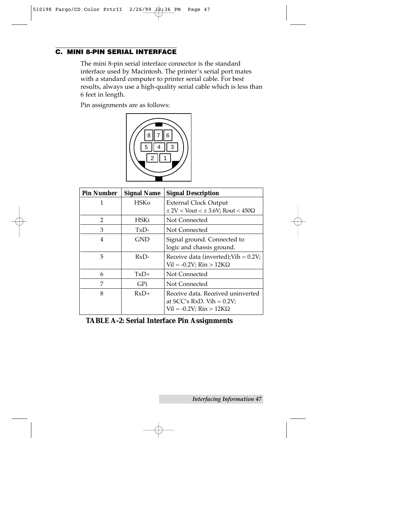#### **C. MINI 8-PIN SERIAL INTERFACE**

The mini 8-pin serial interface connector is the standard interface used by Macintosh. The printer's serial port mates with a standard computer to printer serial cable. For best results, always use a high-quality serial cable which is less than 6 feet in length.

Pin assignments are as follows:



| <b>Pin Number</b> | <b>Signal Name</b> | <b>Signal Description</b>                                                                       |
|-------------------|--------------------|-------------------------------------------------------------------------------------------------|
| 1                 | <b>HSKo</b>        | <b>External Clock Output</b><br>$\pm$ 2V < Vout < $\pm$ 3.6V; Rout < 450 $\Omega$               |
| $\mathcal{L}$     | HSKi               | Not Connected                                                                                   |
| 3                 | TxD-               | Not Connected                                                                                   |
| 4                 | GND                | Signal ground. Connected to<br>logic and chassis ground.                                        |
| 5                 | $RxD-$             | Receive data (inverted); Vih = $0.2V$ ;<br>$Vil = -0.2V$ ; Rin > 12K $\Omega$                   |
| 6                 | $TxD+$             | Not Connected                                                                                   |
| 7                 | GPi                | Not Connected                                                                                   |
| 8                 | $RxD+$             | Receive data. Received uninverted<br>at $SCC's RxD$ . Vih = 0.2V;<br>$Vil = -0.2V$ ; Rin > 12KQ |

**TABLE A-2: Serial Interface Pin Assignments**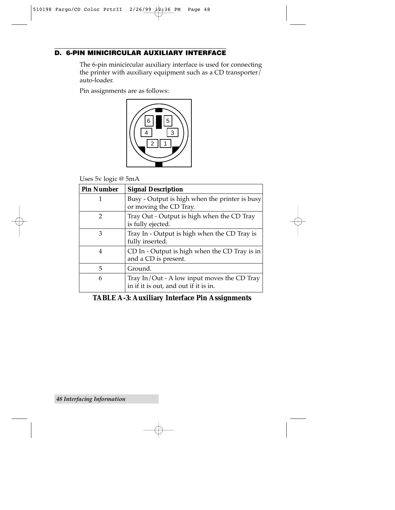#### **D. 6-PIN MINICIRCULAR AUXILIARY INTERFACE**

The 6-pin minicircular auxiliary interface is used for connecting the printer with auxiliary equipment such as a CD transporter $\bar{I}$ auto-loader.

Pin assignments are as follows:



Uses 5v logic @ 5mA

| <b>Pin Number</b> | <b>Signal Description</b>                                                            |
|-------------------|--------------------------------------------------------------------------------------|
| 1                 | Busy - Output is high when the printer is busy<br>or moving the CD Tray.             |
| 2                 | Tray Out - Output is high when the CD Tray<br>is fully ejected.                      |
| 3                 | Tray In - Output is high when the CD Tray is<br>fully inserted.                      |
| 4                 | CD In - Output is high when the CD Tray is in<br>and a CD is present.                |
| 5                 | Ground.                                                                              |
| 6                 | Tray In/Out - A low input moves the CD Tray<br>in if it is out, and out if it is in. |

#### **TABLE A-3: Auxiliary Interface Pin Assignments**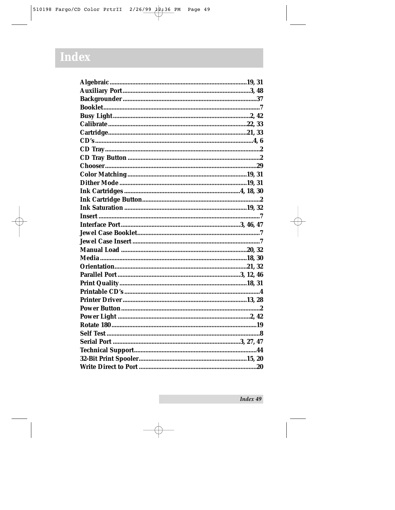## Index